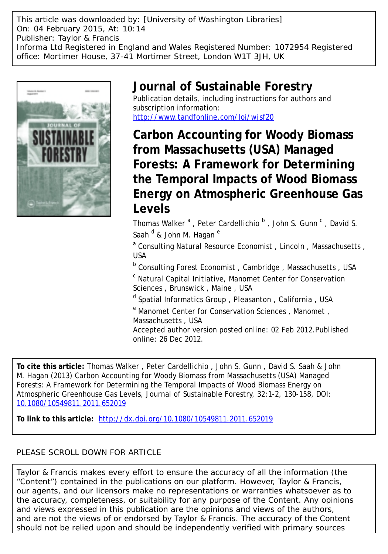This article was downloaded by: [University of Washington Libraries] On: 04 February 2015, At: 10:14 Publisher: Taylor & Francis Informa Ltd Registered in England and Wales Registered Number: 1072954 Registered office: Mortimer House, 37-41 Mortimer Street, London W1T 3JH, UK



# **Journal of Sustainable Forestry**

Publication details, including instructions for authors and subscription information: <http://www.tandfonline.com/loi/wjsf20>

**Carbon Accounting for Woody Biomass from Massachusetts (USA) Managed Forests: A Framework for Determining the Temporal Impacts of Wood Biomass Energy on Atmospheric Greenhouse Gas Levels**

Thomas Walker<sup>a</sup>, Peter Cardellichio<sup>b</sup>, John S. Gunn<sup>c</sup>, David S. Saah <sup>d</sup> & John M. Hagan <sup>e</sup>

<sup>a</sup> Consulting Natural Resource Economist, Lincoln, Massachusetts, USA

**b Consulting Forest Economist, Cambridge, Massachusetts, USA** 

<sup>c</sup> Natural Capital Initiative, Manomet Center for Conservation Sciences , Brunswick , Maine , USA

<sup>d</sup> Spatial Informatics Group, Pleasanton, California, USA

<sup>e</sup> Manomet Center for Conservation Sciences, Manomet, Massachusetts , USA

Accepted author version posted online: 02 Feb 2012.Published online: 26 Dec 2012.

**To cite this article:** Thomas Walker , Peter Cardellichio , John S. Gunn , David S. Saah & John M. Hagan (2013) Carbon Accounting for Woody Biomass from Massachusetts (USA) Managed Forests: A Framework for Determining the Temporal Impacts of Wood Biomass Energy on Atmospheric Greenhouse Gas Levels, Journal of Sustainable Forestry, 32:1-2, 130-158, DOI: [10.1080/10549811.2011.652019](http://www.tandfonline.com/action/showCitFormats?doi=10.1080/10549811.2011.652019)

**To link to this article:** <http://dx.doi.org/10.1080/10549811.2011.652019>

# PLEASE SCROLL DOWN FOR ARTICLE

Taylor & Francis makes every effort to ensure the accuracy of all the information (the "Content") contained in the publications on our platform. However, Taylor & Francis, our agents, and our licensors make no representations or warranties whatsoever as to the accuracy, completeness, or suitability for any purpose of the Content. Any opinions and views expressed in this publication are the opinions and views of the authors, and are not the views of or endorsed by Taylor & Francis. The accuracy of the Content should not be relied upon and should be independently verified with primary sources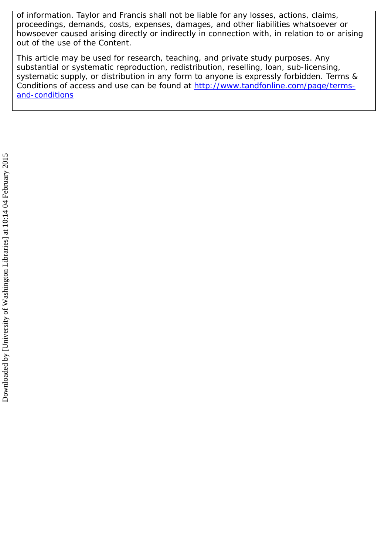of information. Taylor and Francis shall not be liable for any losses, actions, claims, proceedings, demands, costs, expenses, damages, and other liabilities whatsoever or howsoever caused arising directly or indirectly in connection with, in relation to or arising out of the use of the Content.

This article may be used for research, teaching, and private study purposes. Any substantial or systematic reproduction, redistribution, reselling, loan, sub-licensing, systematic supply, or distribution in any form to anyone is expressly forbidden. Terms & Conditions of access and use can be found at [http://www.tandfonline.com/page/terms](http://www.tandfonline.com/page/terms-and-conditions)[and-conditions](http://www.tandfonline.com/page/terms-and-conditions)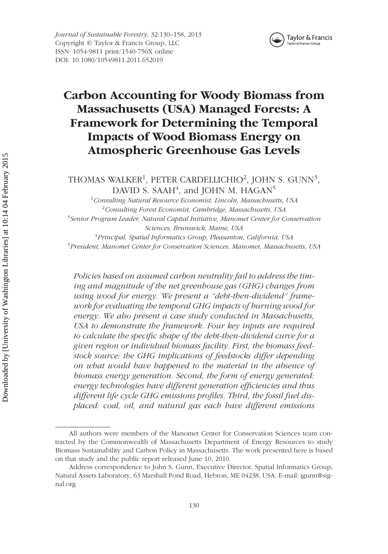

*Journal of Sustainable Forestry*, 32:130–158, 2013 Copyright © Taylor & Francis Group, LLC ISSN: 1054-9811 print/1540-756X online DOI: 10.1080/10549811.2011.652019

# **Carbon Accounting for Woody Biomass from Massachusetts (USA) Managed Forests: A Framework for Determining the Temporal Impacts of Wood Biomass Energy on Atmospheric Greenhouse Gas Levels**

THOMAS WALKER<sup>1</sup>, PETER CARDELLICHIO<sup>2</sup>, JOHN S. GUNN<sup>3</sup>, DAVID S. SAAH $^4$ , and JOHN M. HAGAN $^5$ 

*Consulting Natural Resource Economist, Lincoln, Massachusetts, USA Consulting Forest Economist, Cambridge, Massachusetts, USA Senior Program Leader, Natural Capital Initiative, Manomet Center for Conservation Sciences, Brunswick, Maine, USA Principal, Spatial Informatics Group, Pleasanton, California, USA*

<sup>5</sup>*President, Manomet Center for Conservation Sciences, Manomet, Massachusetts, USA*

*Policies based on assumed carbon neutrality fail to address the timing and magnitude of the net greenhouse gas (GHG) changes from using wood for energy. We present a "debt-then-dividend" framework for evaluating the temporal GHG impacts of burning wood for energy. We also present a case study conducted in Massachusetts, USA to demonstrate the framework. Four key inputs are required to calculate the specific shape of the debt-then-dividend curve for a given region or individual biomass facility. First, the biomass feedstock source: the GHG implications of feedstocks differ depending on what would have happened to the material in the absence of biomass energy generation. Second, the form of energy generated: energy technologies have different generation efficiencies and thus different life cycle GHG emissions profiles. Third, the fossil fuel displaced: coal, oil, and natural gas each have different emissions*

All authors were members of the Manomet Center for Conservation Sciences team contracted by the Commonwealth of Massachusetts Department of Energy Resources to study Biomass Sustainability and Carbon Policy in Massachusetts. The work presented here is based on that study and the public report released June 10, 2010.

Address correspondence to John S. Gunn, Executive Director, Spatial Informatics Group, Natural Assets Laboratory, 63 Marshall Pond Road, Hebron, ME 04238, USA. E-mail: jgunn@signal.org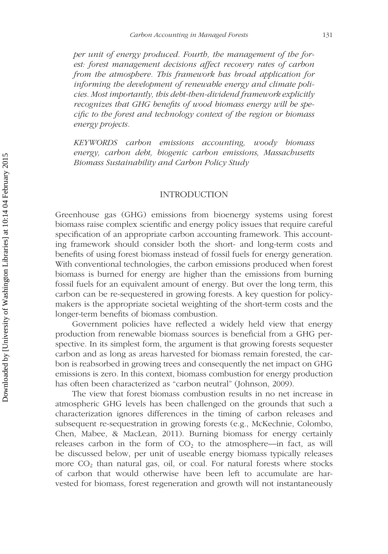*per unit of energy produced. Fourth, the management of the forest: forest management decisions affect recovery rates of carbon from the atmosphere. This framework has broad application for informing the development of renewable energy and climate policies. Most importantly, this debt-then-dividend framework explicitly recognizes that GHG benefits of wood biomass energy will be specific to the forest and technology context of the region or biomass energy projects.*

*KEYWORDS carbon emissions accounting, woody biomass energy, carbon debt, biogenic carbon emissions, Massachusetts Biomass Sustainability and Carbon Policy Study*

#### INTRODUCTION

Greenhouse gas (GHG) emissions from bioenergy systems using forest biomass raise complex scientific and energy policy issues that require careful specification of an appropriate carbon accounting framework. This accounting framework should consider both the short- and long-term costs and benefits of using forest biomass instead of fossil fuels for energy generation. With conventional technologies, the carbon emissions produced when forest biomass is burned for energy are higher than the emissions from burning fossil fuels for an equivalent amount of energy. But over the long term, this carbon can be re-sequestered in growing forests. A key question for policymakers is the appropriate societal weighting of the short-term costs and the longer-term benefits of biomass combustion.

Government policies have reflected a widely held view that energy production from renewable biomass sources is beneficial from a GHG perspective. In its simplest form, the argument is that growing forests sequester carbon and as long as areas harvested for biomass remain forested, the carbon is reabsorbed in growing trees and consequently the net impact on GHG emissions is zero. In this context, biomass combustion for energy production has often been characterized as "carbon neutral" (Johnson, 2009).

The view that forest biomass combustion results in no net increase in atmospheric GHG levels has been challenged on the grounds that such a characterization ignores differences in the timing of carbon releases and subsequent re-sequestration in growing forests (e.g., McKechnie, Colombo, Chen, Mabee, & MacLean, 2011). Burning biomass for energy certainly releases carbon in the form of  $CO<sub>2</sub>$  to the atmosphere—in fact, as will be discussed below, per unit of useable energy biomass typically releases more  $CO<sub>2</sub>$  than natural gas, oil, or coal. For natural forests where stocks of carbon that would otherwise have been left to accumulate are harvested for biomass, forest regeneration and growth will not instantaneously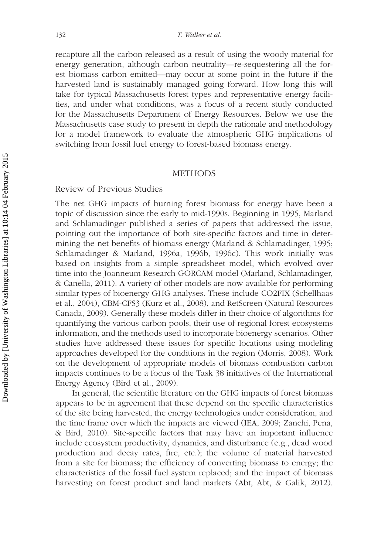recapture all the carbon released as a result of using the woody material for energy generation, although carbon neutrality—re-sequestering all the forest biomass carbon emitted—may occur at some point in the future if the harvested land is sustainably managed going forward. How long this will take for typical Massachusetts forest types and representative energy facilities, and under what conditions, was a focus of a recent study conducted for the Massachusetts Department of Energy Resources. Below we use the Massachusetts case study to present in depth the rationale and methodology for a model framework to evaluate the atmospheric GHG implications of switching from fossil fuel energy to forest-based biomass energy.

#### **METHODS**

# Review of Previous Studies

The net GHG impacts of burning forest biomass for energy have been a topic of discussion since the early to mid-1990s. Beginning in 1995, Marland and Schlamadinger published a series of papers that addressed the issue, pointing out the importance of both site-specific factors and time in determining the net benefits of biomass energy (Marland & Schlamadinger, 1995; Schlamadinger & Marland, 1996a, 1996b, 1996c). This work initially was based on insights from a simple spreadsheet model, which evolved over time into the Joanneum Research GORCAM model (Marland, Schlamadinger, & Canella, 2011). A variety of other models are now available for performing similar types of bioenergy GHG analyses. These include CO2FIX (Schellhaas et al., 2004), CBM-CFS3 (Kurz et al., 2008), and RetScreen (Natural Resources Canada, 2009). Generally these models differ in their choice of algorithms for quantifying the various carbon pools, their use of regional forest ecosystems information, and the methods used to incorporate bioenergy scenarios. Other studies have addressed these issues for specific locations using modeling approaches developed for the conditions in the region (Morris, 2008). Work on the development of appropriate models of biomass combustion carbon impacts continues to be a focus of the Task 38 initiatives of the International Energy Agency (Bird et al., 2009).

In general, the scientific literature on the GHG impacts of forest biomass appears to be in agreement that these depend on the specific characteristics of the site being harvested, the energy technologies under consideration, and the time frame over which the impacts are viewed (IEA, 2009; Zanchi, Pena, & Bird, 2010). Site-specific factors that may have an important influence include ecosystem productivity, dynamics, and disturbance (e.g., dead wood production and decay rates, fire, etc.); the volume of material harvested from a site for biomass; the efficiency of converting biomass to energy; the characteristics of the fossil fuel system replaced; and the impact of biomass harvesting on forest product and land markets (Abt, Abt, & Galik, 2012).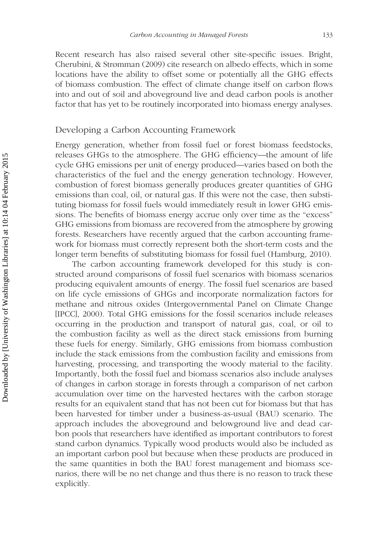Recent research has also raised several other site-specific issues. Bright, Cherubini, & Strømman (2009) cite research on albedo effects, which in some locations have the ability to offset some or potentially all the GHG effects of biomass combustion. The effect of climate change itself on carbon flows into and out of soil and aboveground live and dead carbon pools is another factor that has yet to be routinely incorporated into biomass energy analyses.

# Developing a Carbon Accounting Framework

Energy generation, whether from fossil fuel or forest biomass feedstocks, releases GHGs to the atmosphere. The GHG efficiency—the amount of life cycle GHG emissions per unit of energy produced—varies based on both the characteristics of the fuel and the energy generation technology. However, combustion of forest biomass generally produces greater quantities of GHG emissions than coal, oil, or natural gas. If this were not the case, then substituting biomass for fossil fuels would immediately result in lower GHG emissions. The benefits of biomass energy accrue only over time as the "excess" GHG emissions from biomass are recovered from the atmosphere by growing forests. Researchers have recently argued that the carbon accounting framework for biomass must correctly represent both the short-term costs and the longer term benefits of substituting biomass for fossil fuel (Hamburg, 2010).

The carbon accounting framework developed for this study is constructed around comparisons of fossil fuel scenarios with biomass scenarios producing equivalent amounts of energy. The fossil fuel scenarios are based on life cycle emissions of GHGs and incorporate normalization factors for methane and nitrous oxides (Intergovernmental Panel on Climate Change [IPCC], 2000). Total GHG emissions for the fossil scenarios include releases occurring in the production and transport of natural gas, coal, or oil to the combustion facility as well as the direct stack emissions from burning these fuels for energy. Similarly, GHG emissions from biomass combustion include the stack emissions from the combustion facility and emissions from harvesting, processing, and transporting the woody material to the facility. Importantly, both the fossil fuel and biomass scenarios also include analyses of changes in carbon storage in forests through a comparison of net carbon accumulation over time on the harvested hectares with the carbon storage results for an equivalent stand that has not been cut for biomass but that has been harvested for timber under a business-as-usual (BAU) scenario. The approach includes the aboveground and belowground live and dead carbon pools that researchers have identified as important contributors to forest stand carbon dynamics. Typically wood products would also be included as an important carbon pool but because when these products are produced in the same quantities in both the BAU forest management and biomass scenarios, there will be no net change and thus there is no reason to track these explicitly.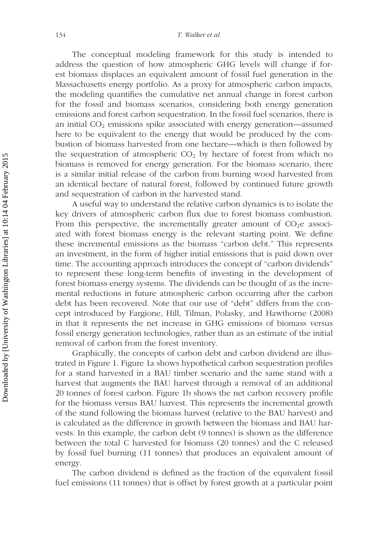The conceptual modeling framework for this study is intended to address the question of how atmospheric GHG levels will change if forest biomass displaces an equivalent amount of fossil fuel generation in the Massachusetts energy portfolio. As a proxy for atmospheric carbon impacts, the modeling quantifies the cumulative net annual change in forest carbon for the fossil and biomass scenarios, considering both energy generation emissions and forest carbon sequestration. In the fossil fuel scenarios, there is an initial  $CO<sub>2</sub>$  emissions spike associated with energy generation—assumed here to be equivalent to the energy that would be produced by the combustion of biomass harvested from one hectare—which is then followed by the sequestration of atmospheric  $CO<sub>2</sub>$  by hectare of forest from which no biomass is removed for energy generation. For the biomass scenario, there is a similar initial release of the carbon from burning wood harvested from an identical hectare of natural forest, followed by continued future growth and sequestration of carbon in the harvested stand.

A useful way to understand the relative carbon dynamics is to isolate the key drivers of atmospheric carbon flux due to forest biomass combustion. From this perspective, the incrementally greater amount of  $CO<sub>2</sub>e$  associated with forest biomass energy is the relevant starting point. We define these incremental emissions as the biomass "carbon debt." This represents an investment, in the form of higher initial emissions that is paid down over time. The accounting approach introduces the concept of "carbon dividends" to represent these long-term benefits of investing in the development of forest biomass energy systems. The dividends can be thought of as the incremental reductions in future atmospheric carbon occurring after the carbon debt has been recovered. Note that our use of "debt" differs from the concept introduced by Fargione, Hill, Tilman, Polasky, and Hawthorne (2008) in that it represents the net increase in GHG emissions of biomass versus fossil energy generation technologies, rather than as an estimate of the initial removal of carbon from the forest inventory.

Graphically, the concepts of carbon debt and carbon dividend are illustrated in Figure 1. Figure 1a shows hypothetical carbon sequestration profiles for a stand harvested in a BAU timber scenario and the same stand with a harvest that augments the BAU harvest through a removal of an additional 20 tonnes of forest carbon. Figure 1b shows the net carbon recovery profile for the biomass versus BAU harvest. This represents the incremental growth of the stand following the biomass harvest (relative to the BAU harvest) and is calculated as the difference in growth between the biomass and BAU harvests. In this example, the carbon debt (9 tonnes) is shown as the difference between the total C harvested for biomass (20 tonnes) and the C released by fossil fuel burning (11 tonnes) that produces an equivalent amount of energy.

The carbon dividend is defined as the fraction of the equivalent fossil fuel emissions (11 tonnes) that is offset by forest growth at a particular point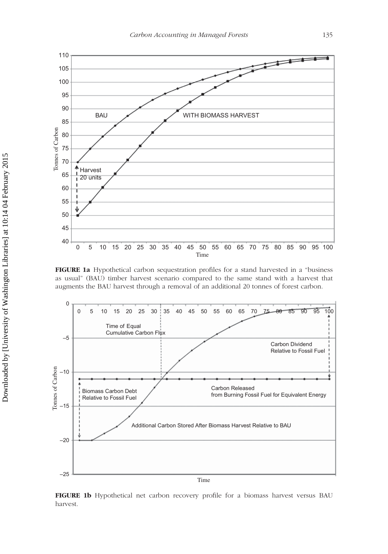

**FIGURE 1a** Hypothetical carbon sequestration profiles for a stand harvested in a "business as usual" (BAU) timber harvest scenario compared to the same stand with a harvest that augments the BAU harvest through a removal of an additional 20 tonnes of forest carbon.



**FIGURE 1b** Hypothetical net carbon recovery profile for a biomass harvest versus BAU harvest.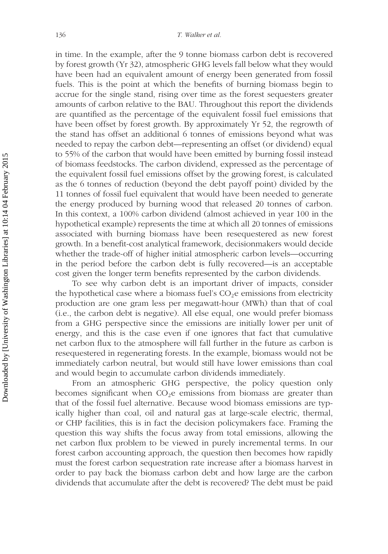in time. In the example, after the 9 tonne biomass carbon debt is recovered by forest growth (Yr 32), atmospheric GHG levels fall below what they would have been had an equivalent amount of energy been generated from fossil fuels. This is the point at which the benefits of burning biomass begin to accrue for the single stand, rising over time as the forest sequesters greater amounts of carbon relative to the BAU. Throughout this report the dividends are quantified as the percentage of the equivalent fossil fuel emissions that have been offset by forest growth. By approximately Yr 52, the regrowth of the stand has offset an additional 6 tonnes of emissions beyond what was needed to repay the carbon debt—representing an offset (or dividend) equal to 55% of the carbon that would have been emitted by burning fossil instead of biomass feedstocks. The carbon dividend, expressed as the percentage of the equivalent fossil fuel emissions offset by the growing forest, is calculated as the 6 tonnes of reduction (beyond the debt payoff point) divided by the 11 tonnes of fossil fuel equivalent that would have been needed to generate the energy produced by burning wood that released 20 tonnes of carbon. In this context, a 100% carbon dividend (almost achieved in year 100 in the hypothetical example) represents the time at which all 20 tonnes of emissions associated with burning biomass have been resequestered as new forest growth. In a benefit-cost analytical framework, decisionmakers would decide whether the trade-off of higher initial atmospheric carbon levels—occurring in the period before the carbon debt is fully recovered—is an acceptable cost given the longer term benefits represented by the carbon dividends.

To see why carbon debt is an important driver of impacts, consider the hypothetical case where a biomass fuel's  $CO<sub>2</sub>e$  emissions from electricity production are one gram less per megawatt-hour (MWh) than that of coal (i.e., the carbon debt is negative). All else equal, one would prefer biomass from a GHG perspective since the emissions are initially lower per unit of energy, and this is the case even if one ignores that fact that cumulative net carbon flux to the atmosphere will fall further in the future as carbon is resequestered in regenerating forests. In the example, biomass would not be immediately carbon neutral, but would still have lower emissions than coal and would begin to accumulate carbon dividends immediately.

From an atmospheric GHG perspective, the policy question only becomes significant when  $CO<sub>2</sub>e$  emissions from biomass are greater than that of the fossil fuel alternative. Because wood biomass emissions are typically higher than coal, oil and natural gas at large-scale electric, thermal, or CHP facilities, this is in fact the decision policymakers face. Framing the question this way shifts the focus away from total emissions, allowing the net carbon flux problem to be viewed in purely incremental terms. In our forest carbon accounting approach, the question then becomes how rapidly must the forest carbon sequestration rate increase after a biomass harvest in order to pay back the biomass carbon debt and how large are the carbon dividends that accumulate after the debt is recovered? The debt must be paid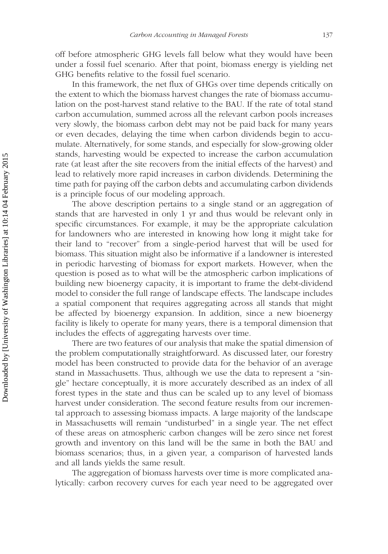off before atmospheric GHG levels fall below what they would have been under a fossil fuel scenario. After that point, biomass energy is yielding net GHG benefits relative to the fossil fuel scenario.

In this framework, the net flux of GHGs over time depends critically on the extent to which the biomass harvest changes the rate of biomass accumulation on the post-harvest stand relative to the BAU. If the rate of total stand carbon accumulation, summed across all the relevant carbon pools increases very slowly, the biomass carbon debt may not be paid back for many years or even decades, delaying the time when carbon dividends begin to accumulate. Alternatively, for some stands, and especially for slow-growing older stands, harvesting would be expected to increase the carbon accumulation rate (at least after the site recovers from the initial effects of the harvest) and lead to relatively more rapid increases in carbon dividends. Determining the time path for paying off the carbon debts and accumulating carbon dividends is a principle focus of our modeling approach.

The above description pertains to a single stand or an aggregation of stands that are harvested in only 1 yr and thus would be relevant only in specific circumstances. For example, it may be the appropriate calculation for landowners who are interested in knowing how long it might take for their land to "recover" from a single-period harvest that will be used for biomass. This situation might also be informative if a landowner is interested in periodic harvesting of biomass for export markets. However, when the question is posed as to what will be the atmospheric carbon implications of building new bioenergy capacity, it is important to frame the debt-dividend model to consider the full range of landscape effects. The landscape includes a spatial component that requires aggregating across all stands that might be affected by bioenergy expansion. In addition, since a new bioenergy facility is likely to operate for many years, there is a temporal dimension that includes the effects of aggregating harvests over time.

There are two features of our analysis that make the spatial dimension of the problem computationally straightforward. As discussed later, our forestry model has been constructed to provide data for the behavior of an average stand in Massachusetts. Thus, although we use the data to represent a "single" hectare conceptually, it is more accurately described as an index of all forest types in the state and thus can be scaled up to any level of biomass harvest under consideration. The second feature results from our incremental approach to assessing biomass impacts. A large majority of the landscape in Massachusetts will remain "undisturbed" in a single year. The net effect of these areas on atmospheric carbon changes will be zero since net forest growth and inventory on this land will be the same in both the BAU and biomass scenarios; thus, in a given year, a comparison of harvested lands and all lands yields the same result.

The aggregation of biomass harvests over time is more complicated analytically: carbon recovery curves for each year need to be aggregated over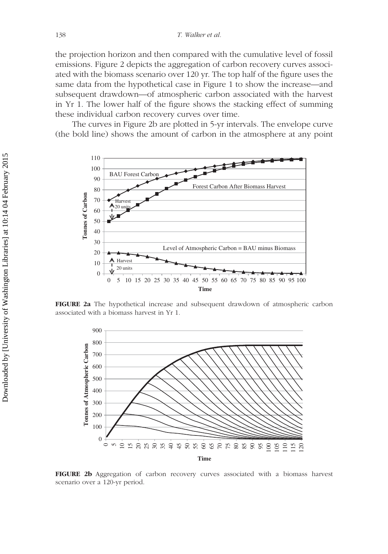the projection horizon and then compared with the cumulative level of fossil emissions. Figure 2 depicts the aggregation of carbon recovery curves associated with the biomass scenario over 120 yr. The top half of the figure uses the same data from the hypothetical case in Figure 1 to show the increase—and subsequent drawdown—of atmospheric carbon associated with the harvest in Yr 1. The lower half of the figure shows the stacking effect of summing these individual carbon recovery curves over time.

The curves in Figure 2b are plotted in 5-yr intervals. The envelope curve (the bold line) shows the amount of carbon in the atmosphere at any point



**FIGURE 2a** The hypothetical increase and subsequent drawdown of atmospheric carbon associated with a biomass harvest in Yr 1.



**FIGURE 2b** Aggregation of carbon recovery curves associated with a biomass harvest scenario over a 120-yr period.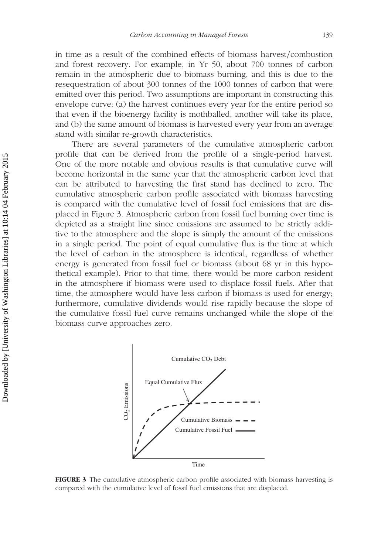in time as a result of the combined effects of biomass harvest*/*combustion and forest recovery. For example, in Yr 50, about 700 tonnes of carbon remain in the atmospheric due to biomass burning, and this is due to the resequestration of about 300 tonnes of the 1000 tonnes of carbon that were emitted over this period. Two assumptions are important in constructing this envelope curve: (a) the harvest continues every year for the entire period so that even if the bioenergy facility is mothballed, another will take its place, and (b) the same amount of biomass is harvested every year from an average stand with similar re-growth characteristics.

There are several parameters of the cumulative atmospheric carbon profile that can be derived from the profile of a single-period harvest. One of the more notable and obvious results is that cumulative curve will become horizontal in the same year that the atmospheric carbon level that can be attributed to harvesting the first stand has declined to zero. The cumulative atmospheric carbon profile associated with biomass harvesting is compared with the cumulative level of fossil fuel emissions that are displaced in Figure 3. Atmospheric carbon from fossil fuel burning over time is depicted as a straight line since emissions are assumed to be strictly additive to the atmosphere and the slope is simply the amount of the emissions in a single period. The point of equal cumulative flux is the time at which the level of carbon in the atmosphere is identical, regardless of whether energy is generated from fossil fuel or biomass (about 68 yr in this hypothetical example). Prior to that time, there would be more carbon resident in the atmosphere if biomass were used to displace fossil fuels. After that time, the atmosphere would have less carbon if biomass is used for energy; furthermore, cumulative dividends would rise rapidly because the slope of the cumulative fossil fuel curve remains unchanged while the slope of the biomass curve approaches zero.



**FIGURE 3** The cumulative atmospheric carbon profile associated with biomass harvesting is compared with the cumulative level of fossil fuel emissions that are displaced.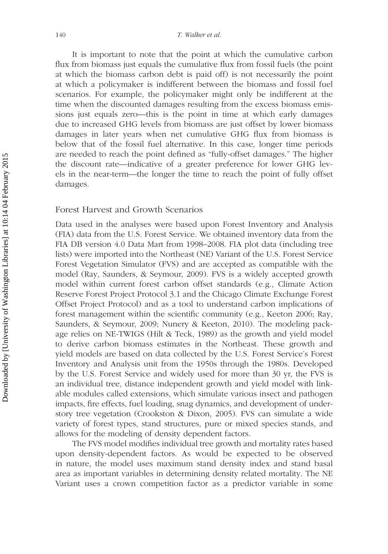It is important to note that the point at which the cumulative carbon flux from biomass just equals the cumulative flux from fossil fuels (the point at which the biomass carbon debt is paid off) is not necessarily the point at which a policymaker is indifferent between the biomass and fossil fuel scenarios. For example, the policymaker might only be indifferent at the time when the discounted damages resulting from the excess biomass emissions just equals zero—this is the point in time at which early damages due to increased GHG levels from biomass are just offset by lower biomass damages in later years when net cumulative GHG flux from biomass is below that of the fossil fuel alternative. In this case, longer time periods are needed to reach the point defined as "fully-offset damages." The higher the discount rate—indicative of a greater preference for lower GHG levels in the near-term—the longer the time to reach the point of fully offset damages.

#### Forest Harvest and Growth Scenarios

Data used in the analyses were based upon Forest Inventory and Analysis (FIA) data from the U.S. Forest Service. We obtained inventory data from the FIA DB version 4.0 Data Mart from 1998–2008. FIA plot data (including tree lists) were imported into the Northeast (NE) Variant of the U.S. Forest Service Forest Vegetation Simulator (FVS) and are accepted as compatible with the model (Ray, Saunders, & Seymour, 2009). FVS is a widely accepted growth model within current forest carbon offset standards (e.g., Climate Action Reserve Forest Project Protocol 3.1 and the Chicago Climate Exchange Forest Offset Project Protocol) and as a tool to understand carbon implications of forest management within the scientific community (e.g., Keeton 2006; Ray, Saunders, & Seymour, 2009; Nunery & Keeton, 2010). The modeling package relies on NE-TWIGS (Hilt & Teck, 1989) as the growth and yield model to derive carbon biomass estimates in the Northeast. These growth and yield models are based on data collected by the U.S. Forest Service's Forest Inventory and Analysis unit from the 1950s through the 1980s. Developed by the U.S. Forest Service and widely used for more than 30 yr, the FVS is an individual tree, distance independent growth and yield model with linkable modules called extensions, which simulate various insect and pathogen impacts, fire effects, fuel loading, snag dynamics, and development of understory tree vegetation (Crookston & Dixon, 2005). FVS can simulate a wide variety of forest types, stand structures, pure or mixed species stands, and allows for the modeling of density dependent factors.

The FVS model modifies individual tree growth and mortality rates based upon density-dependent factors. As would be expected to be observed in nature, the model uses maximum stand density index and stand basal area as important variables in determining density related mortality. The NE Variant uses a crown competition factor as a predictor variable in some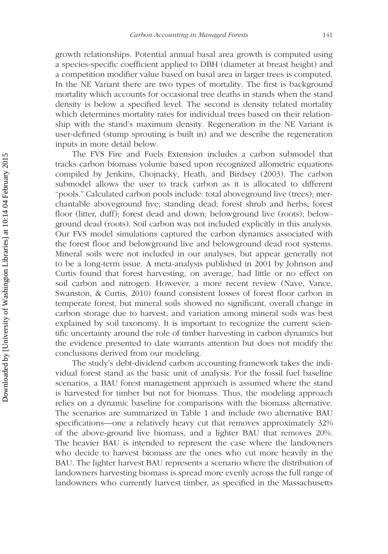growth relationships. Potential annual basal area growth is computed using a species-specific coefficient applied to DBH (diameter at breast height) and a competition modifier value based on basal area in larger trees is computed. In the NE Variant there are two types of mortality. The first is background mortality which accounts for occasional tree deaths in stands when the stand density is below a specified level. The second is density related mortality which determines mortality rates for individual trees based on their relationship with the stand's maximum density. Regeneration in the NE Variant is user-defined (stump sprouting is built in) and we describe the regeneration inputs in more detail below.

The FVS Fire and Fuels Extension includes a carbon submodel that tracks carbon biomass volume based upon recognized allometric equations compiled by Jenkins, Chojnacky, Heath, and Birdsey (2003). The carbon submodel allows the user to track carbon as it is allocated to different "pools." Calculated carbon pools include: total aboveground live (trees); merchantable aboveground live; standing dead; forest shrub and herbs; forest floor (litter, duff); forest dead and down; belowground live (roots); belowground dead (roots). Soil carbon was not included explicitly in this analysis. Our FVS model simulations captured the carbon dynamics associated with the forest floor and belowground live and belowground dead root systems. Mineral soils were not included in our analyses, but appear generally not to be a long-term issue. A meta-analysis published in 2001 by Johnson and Curtis found that forest harvesting, on average, had little or no effect on soil carbon and nitrogen. However, a more recent review (Nave, Vance, Swanston, & Curtis, 2010) found consistent losses of forest floor carbon in temperate forest, but mineral soils showed no significant, overall change in carbon storage due to harvest, and variation among mineral soils was best explained by soil taxonomy. It is important to recognize the current scientific uncertainty around the role of timber harvesting in carbon dynamics but the evidence presented to date warrants attention but does not modify the conclusions derived from our modeling.

The study's debt-dividend carbon accounting framework takes the individual forest stand as the basic unit of analysis. For the fossil fuel baseline scenarios, a BAU forest management approach is assumed where the stand is harvested for timber but not for biomass. Thus, the modeling approach relies on a dynamic baseline for comparisons with the biomass alternative. The scenarios are summarized in Table 1 and include two alternative BAU specifications—one a relatively heavy cut that removes approximately 32% of the above-ground live biomass, and a lighter BAU that removes 20%. The heavier BAU is intended to represent the case where the landowners who decide to harvest biomass are the ones who cut more heavily in the BAU. The lighter harvest BAU represents a scenario where the distribution of landowners harvesting biomass is spread more evenly across the full range of landowners who currently harvest timber, as specified in the Massachusetts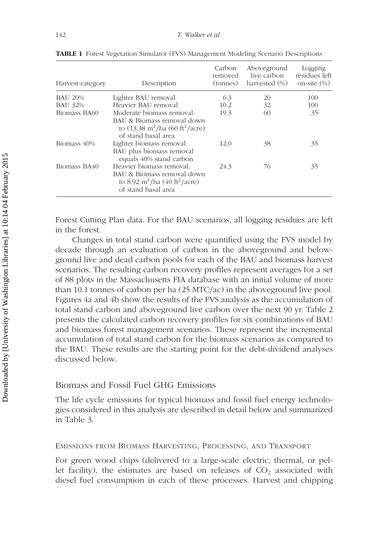| Harvest category | Description                                                                                                                                       | Carbon<br>removed<br>(tonnes) | Aboveground<br>live carbon<br>harvested $(\% )$ | Logging<br>residues left<br>on-site $(\%)$ |
|------------------|---------------------------------------------------------------------------------------------------------------------------------------------------|-------------------------------|-------------------------------------------------|--------------------------------------------|
| <b>BAU 20%</b>   | Lighter BAU removal                                                                                                                               | 6.3                           | 20                                              | 100                                        |
| <b>BAU 32%</b>   | Heavier BAU removal                                                                                                                               | 10.2                          | 32                                              | 100                                        |
| Biomass BA60     | Moderate biomass removal:<br>BAU & Biomass removal down<br>to $(13.38 \text{ m}^2/\text{ha} (60 \text{ ft}^2/\text{acre})$<br>of stand basal area | 19.3                          | 60                                              | 35                                         |
| Biomass 40%      | Lighter biomass removal:<br>BAU plus biomass removal<br>equals 40% stand carbon                                                                   | 12.0                          | 38                                              | 35                                         |
| Biomass BA40     | Heavier biomass removal:<br>BAU & Biomass removal down<br>to 8.92 m <sup>2</sup> /ha (40 ft <sup>2</sup> /acre)<br>of stand basal area            | 24.3                          | 76                                              | 35                                         |

**TABLE 1** Forest Vegetation Simulator (FVS) Management Modeling Scenario Descriptions

Forest Cutting Plan data. For the BAU scenarios, all logging residues are left in the forest.

Changes in total stand carbon were quantified using the FVS model by decade through an evaluation of carbon in the aboveground and belowground live and dead carbon pools for each of the BAU and biomass harvest scenarios. The resulting carbon recovery profiles represent averages for a set of 88 plots in the Massachusetts FIA database with an initial volume of more than 10.1 tonnes of carbon per ha (25 MTC*/*ac) in the aboveground live pool. Figures 4a and 4b show the results of the FVS analysis as the accumulation of total stand carbon and aboveground live carbon over the next 90 yr. Table 2 presents the calculated carbon recovery profiles for six combinations of BAU and biomass forest management scenarios. These represent the incremental accumulation of total stand carbon for the biomass scenarios as compared to the BAU. These results are the starting point for the debt-dividend analyses discussed below.

#### Biomass and Fossil Fuel GHG Emissions

The life cycle emissions for typical biomass and fossil fuel energy technologies considered in this analysis are described in detail below and summarized in Table 3.

EMISSIONS FROM BIOMASS HARVESTING, PROCESSING, AND TRANSPORT

For green wood chips (delivered to a large-scale electric, thermal, or pellet facility), the estimates are based on releases of  $CO<sub>2</sub>$  associated with diesel fuel consumption in each of these processes. Harvest and chipping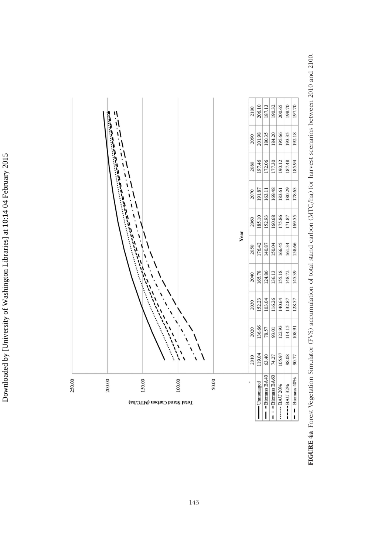



FIGURE 4a Forest Vegetation Simulator (FVS) accumulation of total stand carbon (MTC/ha) for harvest scenarios between 2010 and 2100. **FIGURE 4a** Forest Vegetation Simulator (FVS) accumulation of total stand carbon (MTC*/*ha) for harvest scenarios between 2010 and 2100.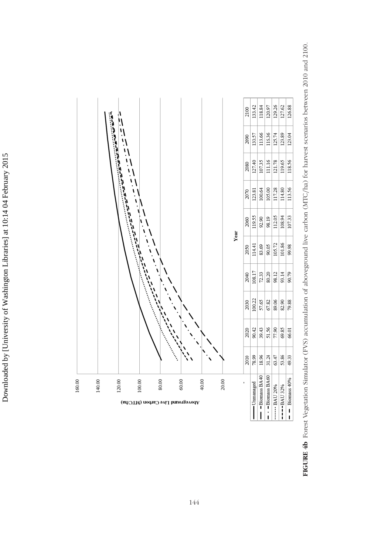Downloaded by [University of Washington Libraries] at 10:14 04 February 2015 Downloaded by [University of Washington Libraries] at 10:14 04 February 2015



FIGURE 4b Forest Vegetation Simulator (FVS) accumulation of aboveground live carbon (MTC/ha) for harvest scenarios between 2010 and 2100. **FIGURE 4b** Forest Vegetation Simulator (FVS) accumulation of aboveground live carbon (MTC*/*ha) for harvest scenarios between 2010 and 2100.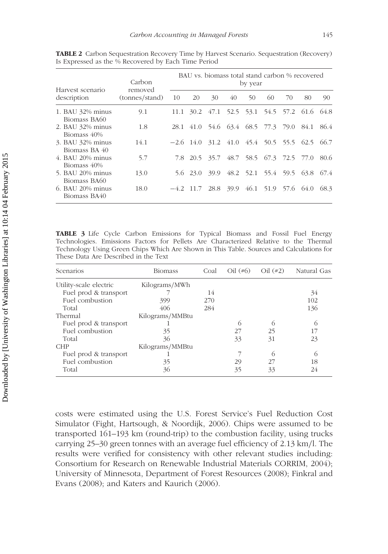| Harvest scenario<br>description       | Carbon                    | BAU vs. biomass total stand carbon % recovered<br>by year |             |      |      |           |                               |                     |      |      |
|---------------------------------------|---------------------------|-----------------------------------------------------------|-------------|------|------|-----------|-------------------------------|---------------------|------|------|
|                                       | removed<br>(tonnes/stand) | 10                                                        | 20          | 30   | 40   | 50        | 60                            | 70                  | 80   | 90   |
| 1. BAU 32% minus<br>Biomass BA60      | 9.1                       | 11.1                                                      | 30.2        | 47.1 |      | 52.5 53.1 |                               | 54.5 57.2 61.6 64.8 |      |      |
| 2. BAU 32% minus<br>Biomass 40%       | 1.8                       | 28.1                                                      | 41.0        |      |      |           | 54.6 63.4 68.5 77.3 79.0      |                     | 84.1 | 86.4 |
| 3. BAU 32% minus<br>Biomass BA 40     | 14.1                      |                                                           | $-2.6$ 14.0 | 31.2 |      |           | 41.0 45.4 50.5 55.5 62.5      |                     |      | 66.7 |
| 4. BAU 20% minus<br>Biomass 40%       | 5.7                       |                                                           | 7.8 20.5    | 35.7 |      |           | 48.7 58.5 67.3 72.5 77.0      |                     |      | 80.6 |
| 5. BAU $20\%$ minus<br>Biomass BA60   | 13.0                      |                                                           | 5.6 23.0    | 39.9 |      |           | 48.2 52.1 55.4 59.5 63.8 67.4 |                     |      |      |
| $6.$ BAU $20\%$ minus<br>Biomass BA40 | 18.0                      |                                                           | $-4.2$ 11.7 | 28.8 | 39.9 |           | 46.1 51.9 57.6 64.0           |                     |      | 68.3 |

**TABLE 2** Carbon Sequestration Recovery Time by Harvest Scenario. Sequestration (Recovery) Is Expressed as the % Recovered by Each Time Period

**TABLE 3** Life Cycle Carbon Emissions for Typical Biomass and Fossil Fuel Energy Technologies. Emissions Factors for Pellets Are Characterized Relative to the Thermal Technology Using Green Chips Which Are Shown in This Table. Sources and Calculations for These Data Are Described in the Text

| Scenarios              | <b>Biomass</b>  | Coal | $\text{Oil } (\#6)$ | $\text{Oil } (\#2)$ | Natural Gas |
|------------------------|-----------------|------|---------------------|---------------------|-------------|
| Utility-scale electric | Kilograms/MWh   |      |                     |                     |             |
| Fuel prod & transport  |                 | 14   |                     |                     | 34          |
| Fuel combustion        | 399             | 270  |                     |                     | 102         |
| Total                  | 406             | 284  |                     |                     | 136         |
| Thermal                | Kilograms/MMBtu |      |                     |                     |             |
| Fuel prod & transport  |                 |      | (ე                  |                     | 6           |
| Fuel combustion        | 35              |      | 27                  | 25                  | 17          |
| Total                  | 36              |      | 33                  | 31                  | 23          |
| <b>CHP</b>             | Kilograms/MMBtu |      |                     |                     |             |
| Fuel prod & transport  |                 |      |                     |                     | 6           |
| Fuel combustion        | 35              |      | 29                  | 27                  | 18          |
| Total                  | 36              |      | 35                  | 33                  | 24          |

costs were estimated using the U.S. Forest Service's Fuel Reduction Cost Simulator (Fight, Hartsough, & Noordijk, 2006). Chips were assumed to be transported 161–193 km (round-trip) to the combustion facility, using trucks carrying 25–30 green tonnes with an average fuel efficiency of 2.13 km*/*l. The results were verified for consistency with other relevant studies including: Consortium for Research on Renewable Industrial Materials CORRIM, 2004); University of Minnesota, Department of Forest Resources (2008); Finkral and Evans (2008); and Katers and Kaurich (2006).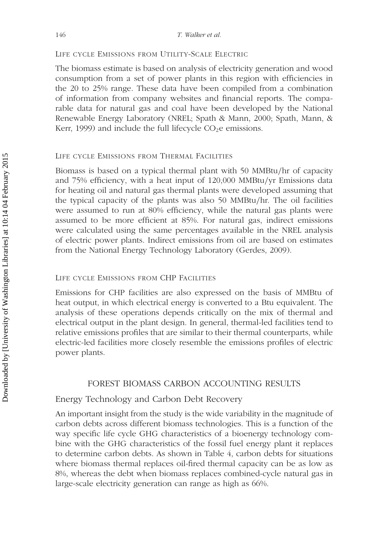#### LIFE CYCLE EMISSIONS FROM UTILITY-SCALE ELECTRIC

The biomass estimate is based on analysis of electricity generation and wood consumption from a set of power plants in this region with efficiencies in the 20 to 25% range. These data have been compiled from a combination of information from company websites and financial reports. The comparable data for natural gas and coal have been developed by the National Renewable Energy Laboratory (NREL; Spath & Mann, 2000; Spath, Mann, & Kerr, 1999) and include the full lifecycle  $CO<sub>2</sub>e$  emissions.

#### LIFE CYCLE EMISSIONS FROM THERMAL FACILITIES

Biomass is based on a typical thermal plant with 50 MMBtu*/*hr of capacity and 75% efficiency, with a heat input of 120,000 MMBtu*/*yr Emissions data for heating oil and natural gas thermal plants were developed assuming that the typical capacity of the plants was also 50 MMBtu*/*hr. The oil facilities were assumed to run at 80% efficiency, while the natural gas plants were assumed to be more efficient at 85%. For natural gas, indirect emissions were calculated using the same percentages available in the NREL analysis of electric power plants. Indirect emissions from oil are based on estimates from the National Energy Technology Laboratory (Gerdes, 2009).

#### LIFE CYCLE EMISSIONS FROM CHP FACILITIES

Emissions for CHP facilities are also expressed on the basis of MMBtu of heat output, in which electrical energy is converted to a Btu equivalent. The analysis of these operations depends critically on the mix of thermal and electrical output in the plant design. In general, thermal-led facilities tend to relative emissions profiles that are similar to their thermal counterparts, while electric-led facilities more closely resemble the emissions profiles of electric power plants.

# FOREST BIOMASS CARBON ACCOUNTING RESULTS

# Energy Technology and Carbon Debt Recovery

An important insight from the study is the wide variability in the magnitude of carbon debts across different biomass technologies. This is a function of the way specific life cycle GHG characteristics of a bioenergy technology combine with the GHG characteristics of the fossil fuel energy plant it replaces to determine carbon debts. As shown in Table 4, carbon debts for situations where biomass thermal replaces oil-fired thermal capacity can be as low as 8%, whereas the debt when biomass replaces combined-cycle natural gas in large-scale electricity generation can range as high as 66%.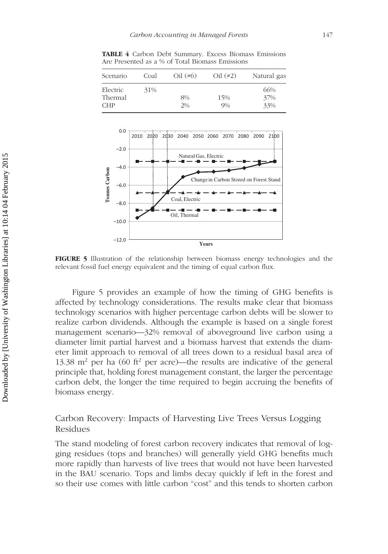Are Presented as a % of Total Biomass Emissions

Scenario Coal Oil (#6) Oil (#2) Natural gas Electric  $31\%$  66% Thermal 8% 15% 37% CHP 2% 9% 33%

**TABLE 4** Carbon Debt Summary. Excess Biomass Emissions



**FIGURE 5** Illustration of the relationship between biomass energy technologies and the relevant fossil fuel energy equivalent and the timing of equal carbon flux.

Figure 5 provides an example of how the timing of GHG benefits is affected by technology considerations. The results make clear that biomass technology scenarios with higher percentage carbon debts will be slower to realize carbon dividends. Although the example is based on a single forest management scenario—32% removal of aboveground live carbon using a diameter limit partial harvest and a biomass harvest that extends the diameter limit approach to removal of all trees down to a residual basal area of 13.38 m<sup>2</sup> per ha (60 ft<sup>2</sup> per acre)—the results are indicative of the general principle that, holding forest management constant, the larger the percentage carbon debt, the longer the time required to begin accruing the benefits of biomass energy.

# Carbon Recovery: Impacts of Harvesting Live Trees Versus Logging Residues

The stand modeling of forest carbon recovery indicates that removal of logging residues (tops and branches) will generally yield GHG benefits much more rapidly than harvests of live trees that would not have been harvested in the BAU scenario. Tops and limbs decay quickly if left in the forest and so their use comes with little carbon "cost" and this tends to shorten carbon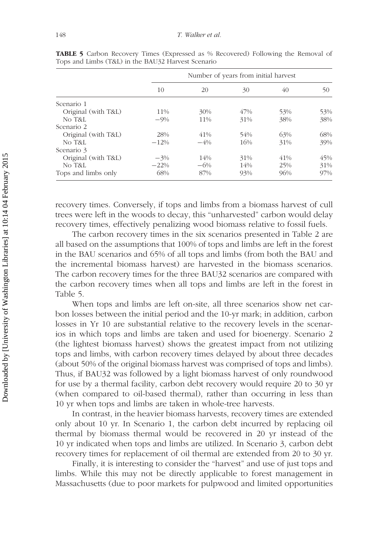|                     | Number of years from initial harvest |       |     |     |     |  |  |  |
|---------------------|--------------------------------------|-------|-----|-----|-----|--|--|--|
|                     | 10                                   | 20    | 30  | 40  | 50  |  |  |  |
| Scenario 1          |                                      |       |     |     |     |  |  |  |
| Original (with T&L) | 11%                                  | 30%   | 47% | 53% | 53% |  |  |  |
| No T&L              | $-9\%$                               | 11%   | 31% | 38% | 38% |  |  |  |
| Scenario 2          |                                      |       |     |     |     |  |  |  |
| Original (with T&L) | 28%                                  | 41%   | 54% | 63% | 68% |  |  |  |
| No T&L              | $-12%$                               | $-4%$ | 16% | 31% | 39% |  |  |  |
| Scenario 3          |                                      |       |     |     |     |  |  |  |
| Original (with T&L) | $-3\%$                               | 14%   | 31% | 41% | 45% |  |  |  |
| No T&L              | $-22%$                               | $-6%$ | 14% | 25% | 31% |  |  |  |
| Tops and limbs only | 68%                                  | 87%   | 93% | 96% | 97% |  |  |  |

**TABLE 5** Carbon Recovery Times (Expressed as % Recovered) Following the Removal of Tops and Limbs (T&L) in the BAU32 Harvest Scenario

recovery times. Conversely, if tops and limbs from a biomass harvest of cull trees were left in the woods to decay, this "unharvested" carbon would delay recovery times, effectively penalizing wood biomass relative to fossil fuels.

The carbon recovery times in the six scenarios presented in Table 2 are all based on the assumptions that 100% of tops and limbs are left in the forest in the BAU scenarios and 65% of all tops and limbs (from both the BAU and the incremental biomass harvest) are harvested in the biomass scenarios. The carbon recovery times for the three BAU32 scenarios are compared with the carbon recovery times when all tops and limbs are left in the forest in Table 5.

When tops and limbs are left on-site, all three scenarios show net carbon losses between the initial period and the 10-yr mark; in addition, carbon losses in Yr 10 are substantial relative to the recovery levels in the scenarios in which tops and limbs are taken and used for bioenergy. Scenario 2 (the lightest biomass harvest) shows the greatest impact from not utilizing tops and limbs, with carbon recovery times delayed by about three decades (about 50% of the original biomass harvest was comprised of tops and limbs). Thus, if BAU32 was followed by a light biomass harvest of only roundwood for use by a thermal facility, carbon debt recovery would require 20 to 30 yr (when compared to oil-based thermal), rather than occurring in less than 10 yr when tops and limbs are taken in whole-tree harvests.

In contrast, in the heavier biomass harvests, recovery times are extended only about 10 yr. In Scenario 1, the carbon debt incurred by replacing oil thermal by biomass thermal would be recovered in 20 yr instead of the 10 yr indicated when tops and limbs are utilized. In Scenario 3, carbon debt recovery times for replacement of oil thermal are extended from 20 to 30 yr.

Finally, it is interesting to consider the "harvest" and use of just tops and limbs. While this may not be directly applicable to forest management in Massachusetts (due to poor markets for pulpwood and limited opportunities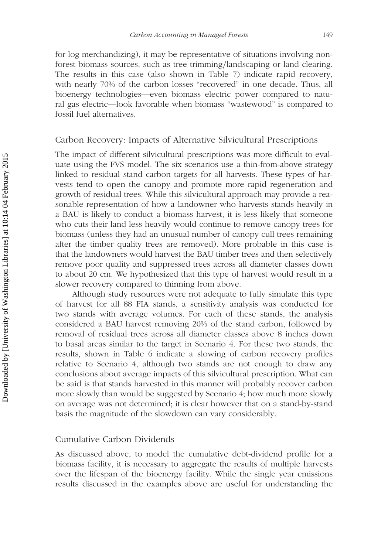for log merchandizing), it may be representative of situations involving nonforest biomass sources, such as tree trimming*/*landscaping or land clearing. The results in this case (also shown in Table 7) indicate rapid recovery, with nearly 70% of the carbon losses "recovered" in one decade. Thus, all bioenergy technologies—even biomass electric power compared to natural gas electric—look favorable when biomass "wastewood" is compared to fossil fuel alternatives.

#### Carbon Recovery: Impacts of Alternative Silvicultural Prescriptions

The impact of different silvicultural prescriptions was more difficult to evaluate using the FVS model. The six scenarios use a thin-from-above strategy linked to residual stand carbon targets for all harvests. These types of harvests tend to open the canopy and promote more rapid regeneration and growth of residual trees. While this silvicultural approach may provide a reasonable representation of how a landowner who harvests stands heavily in a BAU is likely to conduct a biomass harvest, it is less likely that someone who cuts their land less heavily would continue to remove canopy trees for biomass (unless they had an unusual number of canopy cull trees remaining after the timber quality trees are removed). More probable in this case is that the landowners would harvest the BAU timber trees and then selectively remove poor quality and suppressed trees across all diameter classes down to about 20 cm. We hypothesized that this type of harvest would result in a slower recovery compared to thinning from above.

Although study resources were not adequate to fully simulate this type of harvest for all 88 FIA stands, a sensitivity analysis was conducted for two stands with average volumes. For each of these stands, the analysis considered a BAU harvest removing 20% of the stand carbon, followed by removal of residual trees across all diameter classes above 8 inches down to basal areas similar to the target in Scenario 4. For these two stands, the results, shown in Table 6 indicate a slowing of carbon recovery profiles relative to Scenario 4, although two stands are not enough to draw any conclusions about average impacts of this silvicultural prescription. What can be said is that stands harvested in this manner will probably recover carbon more slowly than would be suggested by Scenario 4; how much more slowly on average was not determined; it is clear however that on a stand-by-stand basis the magnitude of the slowdown can vary considerably.

#### Cumulative Carbon Dividends

As discussed above, to model the cumulative debt-dividend profile for a biomass facility, it is necessary to aggregate the results of multiple harvests over the lifespan of the bioenergy facility. While the single year emissions results discussed in the examples above are useful for understanding the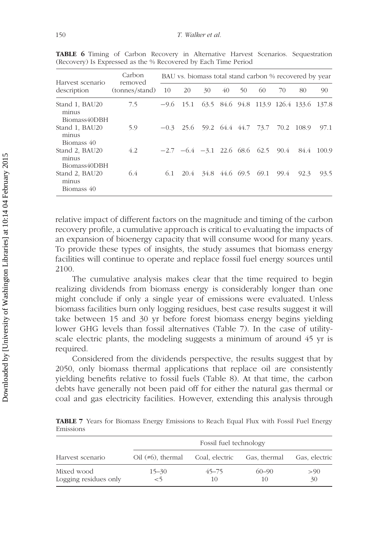| Harvest scenario<br>description         | Carbon<br>removed | BAU vs. biomass total stand carbon % recovered by year |                                     |    |                |    |                                      |      |                                                    |       |
|-----------------------------------------|-------------------|--------------------------------------------------------|-------------------------------------|----|----------------|----|--------------------------------------|------|----------------------------------------------------|-------|
|                                         | (tonnes/stand)    | 10                                                     | 20                                  | 30 | 40             | 50 | 60                                   | 70   | 80                                                 | 90    |
| Stand 1, BAU20<br>minus<br>Biomass40DBH | 7.5               |                                                        |                                     |    |                |    |                                      |      | $-9.6$ 15.1 63.5 84.6 94.8 113.9 126.4 133.6 137.8 |       |
| Stand 1, BAU20<br>minus<br>Biomass 40   | 5.9               |                                                        |                                     |    |                |    | $-0.3$ 25.6 59.2 64.4 44.7 73.7 70.2 |      | 108.9                                              | 97.1  |
| Stand 2, BAU20<br>minus<br>Biomass40DBH | 4.2               |                                                        | $-2.7$ $-6.4$ $-3.1$ 22.6 68.6 62.5 |    |                |    |                                      | 90.4 | 84.4                                               | 100.9 |
| Stand 2, BAU20<br>minus<br>Biomass 40   | 6.4               | 6.1                                                    | 20.4                                |    | 34.8 44.6 69.5 |    | 69.1                                 | 99.4 | 92.3                                               | 93.5  |

**TABLE 6** Timing of Carbon Recovery in Alternative Harvest Scenarios. Sequestration (Recovery) Is Expressed as the % Recovered by Each Time Period

relative impact of different factors on the magnitude and timing of the carbon recovery profile, a cumulative approach is critical to evaluating the impacts of an expansion of bioenergy capacity that will consume wood for many years. To provide these types of insights, the study assumes that biomass energy facilities will continue to operate and replace fossil fuel energy sources until 2100.

The cumulative analysis makes clear that the time required to begin realizing dividends from biomass energy is considerably longer than one might conclude if only a single year of emissions were evaluated. Unless biomass facilities burn only logging residues, best case results suggest it will take between 15 and 30 yr before forest biomass energy begins yielding lower GHG levels than fossil alternatives (Table 7). In the case of utilityscale electric plants, the modeling suggests a minimum of around 45 yr is required.

Considered from the dividends perspective, the results suggest that by 2050, only biomass thermal applications that replace oil are consistently yielding benefits relative to fossil fuels (Table 8). At that time, the carbon debts have generally not been paid off for either the natural gas thermal or coal and gas electricity facilities. However, extending this analysis through

**TABLE 7** Years for Biomass Energy Emissions to Reach Equal Flux with Fossil Fuel Energy Emissions

| Harvest scenario                    | Fossil fuel technology |                |              |               |  |  |  |  |
|-------------------------------------|------------------------|----------------|--------------|---------------|--|--|--|--|
|                                     | Oil $(\#6)$ , thermal  | Coal, electric | Gas, thermal | Gas, electric |  |  |  |  |
| Mixed wood<br>Logging residues only | $15 - 30$              | $45 - 75$      | $60 - 90$    | >90<br>30     |  |  |  |  |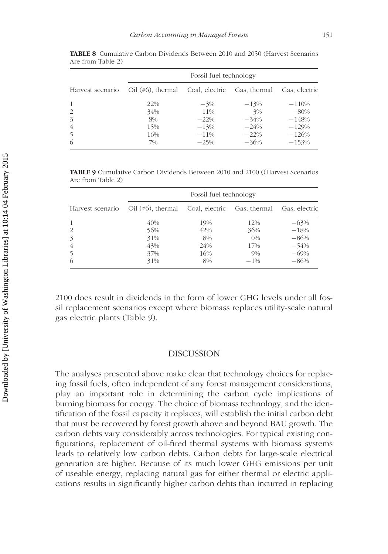| Harvest scenario | Fossil fuel technology                            |        |        |               |  |  |  |  |
|------------------|---------------------------------------------------|--------|--------|---------------|--|--|--|--|
|                  | Oil $(\#6)$ , thermal Coal, electric Gas, thermal |        |        | Gas, electric |  |  |  |  |
|                  | 22\%                                              | $-3\%$ | $-13%$ | $-110%$       |  |  |  |  |
| 2                | 34%                                               | 11%    | 3%     | $-80%$        |  |  |  |  |
| 3                | 8%                                                | $-22%$ | $-34%$ | $-148%$       |  |  |  |  |
| 4                | 15%                                               | $-13%$ | $-24%$ | $-129%$       |  |  |  |  |
| 5                | 16%                                               | $-11%$ | $-22%$ | $-126%$       |  |  |  |  |
| 6                | 7%                                                | $-25%$ | $-36%$ | $-153%$       |  |  |  |  |

**TABLE 8** Cumulative Carbon Dividends Between 2010 and 2050 (Harvest Scenarios Are from Table 2)

**TABLE 9** Cumulative Carbon Dividends Between 2010 and 2100 ((Harvest Scenarios Are from Table 2)

| Harvest scenario | Fossil fuel technology |     |                             |               |  |  |  |  |
|------------------|------------------------|-----|-----------------------------|---------------|--|--|--|--|
|                  | Oil $(\#6)$ , thermal  |     | Coal, electric Gas, thermal | Gas, electric |  |  |  |  |
|                  | 40%                    | 19% | 12%                         | $-63%$        |  |  |  |  |
|                  | 56%                    | 42% | 36%                         | $-18%$        |  |  |  |  |
| 3                | 31%                    | 8%  | $0\%$                       | $-86%$        |  |  |  |  |
| 4                | 43%                    | 24% | 17%                         | $-54%$        |  |  |  |  |
|                  | 37%                    | 16% | $9\%$                       | $-69%$        |  |  |  |  |
| $\left($         | 31%                    | 8%  | $-1\%$                      | $-86%$        |  |  |  |  |

2100 does result in dividends in the form of lower GHG levels under all fossil replacement scenarios except where biomass replaces utility-scale natural gas electric plants (Table 9).

#### DISCUSSION

The analyses presented above make clear that technology choices for replacing fossil fuels, often independent of any forest management considerations, play an important role in determining the carbon cycle implications of burning biomass for energy. The choice of biomass technology, and the identification of the fossil capacity it replaces, will establish the initial carbon debt that must be recovered by forest growth above and beyond BAU growth. The carbon debts vary considerably across technologies. For typical existing configurations, replacement of oil-fired thermal systems with biomass systems leads to relatively low carbon debts. Carbon debts for large-scale electrical generation are higher. Because of its much lower GHG emissions per unit of useable energy, replacing natural gas for either thermal or electric applications results in significantly higher carbon debts than incurred in replacing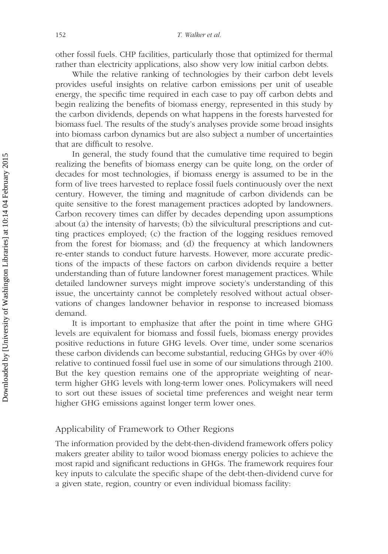other fossil fuels. CHP facilities, particularly those that optimized for thermal rather than electricity applications, also show very low initial carbon debts.

While the relative ranking of technologies by their carbon debt levels provides useful insights on relative carbon emissions per unit of useable energy, the specific time required in each case to pay off carbon debts and begin realizing the benefits of biomass energy, represented in this study by the carbon dividends, depends on what happens in the forests harvested for biomass fuel. The results of the study's analyses provide some broad insights into biomass carbon dynamics but are also subject a number of uncertainties that are difficult to resolve.

In general, the study found that the cumulative time required to begin realizing the benefits of biomass energy can be quite long, on the order of decades for most technologies, if biomass energy is assumed to be in the form of live trees harvested to replace fossil fuels continuously over the next century. However, the timing and magnitude of carbon dividends can be quite sensitive to the forest management practices adopted by landowners. Carbon recovery times can differ by decades depending upon assumptions about (a) the intensity of harvests; (b) the silvicultural prescriptions and cutting practices employed; (c) the fraction of the logging residues removed from the forest for biomass; and (d) the frequency at which landowners re-enter stands to conduct future harvests. However, more accurate predictions of the impacts of these factors on carbon dividends require a better understanding than of future landowner forest management practices. While detailed landowner surveys might improve society's understanding of this issue, the uncertainty cannot be completely resolved without actual observations of changes landowner behavior in response to increased biomass demand.

It is important to emphasize that after the point in time where GHG levels are equivalent for biomass and fossil fuels, biomass energy provides positive reductions in future GHG levels. Over time, under some scenarios these carbon dividends can become substantial, reducing GHGs by over 40% relative to continued fossil fuel use in some of our simulations through 2100. But the key question remains one of the appropriate weighting of nearterm higher GHG levels with long-term lower ones. Policymakers will need to sort out these issues of societal time preferences and weight near term higher GHG emissions against longer term lower ones.

# Applicability of Framework to Other Regions

The information provided by the debt-then-dividend framework offers policy makers greater ability to tailor wood biomass energy policies to achieve the most rapid and significant reductions in GHGs. The framework requires four key inputs to calculate the specific shape of the debt-then-dividend curve for a given state, region, country or even individual biomass facility: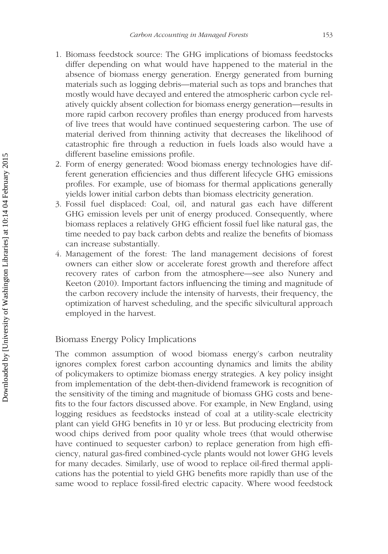- 1. Biomass feedstock source: The GHG implications of biomass feedstocks differ depending on what would have happened to the material in the absence of biomass energy generation. Energy generated from burning materials such as logging debris—material such as tops and branches that mostly would have decayed and entered the atmospheric carbon cycle relatively quickly absent collection for biomass energy generation—results in more rapid carbon recovery profiles than energy produced from harvests of live trees that would have continued sequestering carbon. The use of material derived from thinning activity that decreases the likelihood of catastrophic fire through a reduction in fuels loads also would have a different baseline emissions profile.
- 2. Form of energy generated: Wood biomass energy technologies have different generation efficiencies and thus different lifecycle GHG emissions profiles. For example, use of biomass for thermal applications generally yields lower initial carbon debts than biomass electricity generation.
- 3. Fossil fuel displaced: Coal, oil, and natural gas each have different GHG emission levels per unit of energy produced. Consequently, where biomass replaces a relatively GHG efficient fossil fuel like natural gas, the time needed to pay back carbon debts and realize the benefits of biomass can increase substantially.
- 4. Management of the forest: The land management decisions of forest owners can either slow or accelerate forest growth and therefore affect recovery rates of carbon from the atmosphere—see also Nunery and Keeton (2010). Important factors influencing the timing and magnitude of the carbon recovery include the intensity of harvests, their frequency, the optimization of harvest scheduling, and the specific silvicultural approach employed in the harvest.

# Biomass Energy Policy Implications

The common assumption of wood biomass energy's carbon neutrality ignores complex forest carbon accounting dynamics and limits the ability of policymakers to optimize biomass energy strategies. A key policy insight from implementation of the debt-then-dividend framework is recognition of the sensitivity of the timing and magnitude of biomass GHG costs and benefits to the four factors discussed above. For example, in New England, using logging residues as feedstocks instead of coal at a utility-scale electricity plant can yield GHG benefits in 10 yr or less. But producing electricity from wood chips derived from poor quality whole trees (that would otherwise have continued to sequester carbon) to replace generation from high efficiency, natural gas-fired combined-cycle plants would not lower GHG levels for many decades. Similarly, use of wood to replace oil-fired thermal applications has the potential to yield GHG benefits more rapidly than use of the same wood to replace fossil-fired electric capacity. Where wood feedstock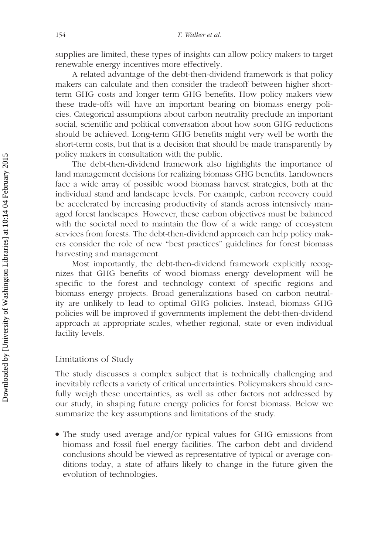supplies are limited, these types of insights can allow policy makers to target renewable energy incentives more effectively.

A related advantage of the debt-then-dividend framework is that policy makers can calculate and then consider the tradeoff between higher shortterm GHG costs and longer term GHG benefits. How policy makers view these trade-offs will have an important bearing on biomass energy policies. Categorical assumptions about carbon neutrality preclude an important social, scientific and political conversation about how soon GHG reductions should be achieved. Long-term GHG benefits might very well be worth the short-term costs, but that is a decision that should be made transparently by policy makers in consultation with the public.

The debt-then-dividend framework also highlights the importance of land management decisions for realizing biomass GHG benefits. Landowners face a wide array of possible wood biomass harvest strategies, both at the individual stand and landscape levels. For example, carbon recovery could be accelerated by increasing productivity of stands across intensively managed forest landscapes. However, these carbon objectives must be balanced with the societal need to maintain the flow of a wide range of ecosystem services from forests. The debt-then-dividend approach can help policy makers consider the role of new "best practices" guidelines for forest biomass harvesting and management.

Most importantly, the debt-then-dividend framework explicitly recognizes that GHG benefits of wood biomass energy development will be specific to the forest and technology context of specific regions and biomass energy projects. Broad generalizations based on carbon neutrality are unlikely to lead to optimal GHG policies. Instead, biomass GHG policies will be improved if governments implement the debt-then-dividend approach at appropriate scales, whether regional, state or even individual facility levels.

# Limitations of Study

The study discusses a complex subject that is technically challenging and inevitably reflects a variety of critical uncertainties. Policymakers should carefully weigh these uncertainties, as well as other factors not addressed by our study, in shaping future energy policies for forest biomass. Below we summarize the key assumptions and limitations of the study.

● The study used average and*/*or typical values for GHG emissions from biomass and fossil fuel energy facilities. The carbon debt and dividend conclusions should be viewed as representative of typical or average conditions today, a state of affairs likely to change in the future given the evolution of technologies.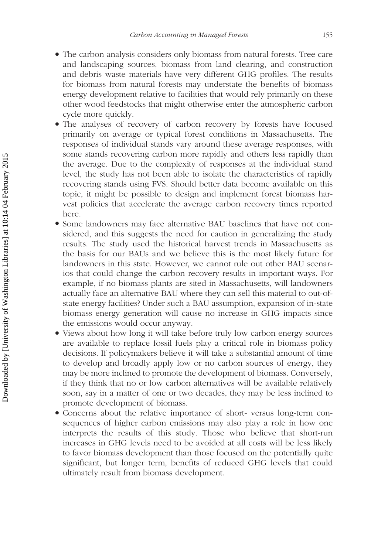- The carbon analysis considers only biomass from natural forests. Tree care and landscaping sources, biomass from land clearing, and construction and debris waste materials have very different GHG profiles. The results for biomass from natural forests may understate the benefits of biomass energy development relative to facilities that would rely primarily on these other wood feedstocks that might otherwise enter the atmospheric carbon cycle more quickly.
- The analyses of recovery of carbon recovery by forests have focused primarily on average or typical forest conditions in Massachusetts. The responses of individual stands vary around these average responses, with some stands recovering carbon more rapidly and others less rapidly than the average. Due to the complexity of responses at the individual stand level, the study has not been able to isolate the characteristics of rapidly recovering stands using FVS. Should better data become available on this topic, it might be possible to design and implement forest biomass harvest policies that accelerate the average carbon recovery times reported here.
- Some landowners may face alternative BAU baselines that have not considered, and this suggests the need for caution in generalizing the study results. The study used the historical harvest trends in Massachusetts as the basis for our BAUs and we believe this is the most likely future for landowners in this state. However, we cannot rule out other BAU scenarios that could change the carbon recovery results in important ways. For example, if no biomass plants are sited in Massachusetts, will landowners actually face an alternative BAU where they can sell this material to out-ofstate energy facilities? Under such a BAU assumption, expansion of in-state biomass energy generation will cause no increase in GHG impacts since the emissions would occur anyway.
- Views about how long it will take before truly low carbon energy sources are available to replace fossil fuels play a critical role in biomass policy decisions. If policymakers believe it will take a substantial amount of time to develop and broadly apply low or no carbon sources of energy, they may be more inclined to promote the development of biomass. Conversely, if they think that no or low carbon alternatives will be available relatively soon, say in a matter of one or two decades, they may be less inclined to promote development of biomass.
- Concerns about the relative importance of short- versus long-term consequences of higher carbon emissions may also play a role in how one interprets the results of this study. Those who believe that short-run increases in GHG levels need to be avoided at all costs will be less likely to favor biomass development than those focused on the potentially quite significant, but longer term, benefits of reduced GHG levels that could ultimately result from biomass development.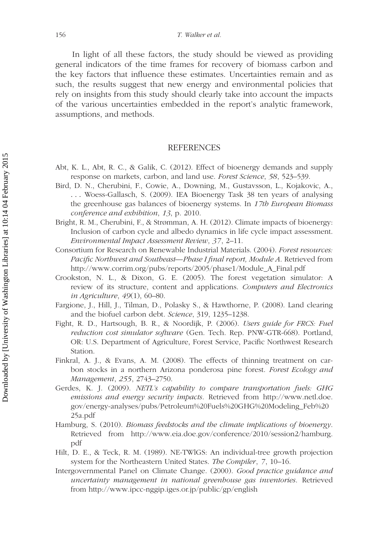156 *T. Walker et al.*

In light of all these factors, the study should be viewed as providing general indicators of the time frames for recovery of biomass carbon and the key factors that influence these estimates. Uncertainties remain and as such, the results suggest that new energy and environmental policies that rely on insights from this study should clearly take into account the impacts of the various uncertainties embedded in the report's analytic framework, assumptions, and methods.

#### REFERENCES

- Abt, K. L., Abt, R. C., & Galik, C. (2012). Effect of bioenergy demands and supply response on markets, carbon, and land use. *Forest Science*, *58*, 523–539.
- Bird, D. N., Cherubini, F., Cowie, A., Downing, M., Gustavsson, L., Kojakovic, A., *...* Woess-Gallasch, S. (2009). IEA Bioenergy Task 38 ten years of analysing the greenhouse gas balances of bioenergy systems. In *17th European Biomass conference and exhibition*, *13*, p. 2010.
- Bright, R. M., Cherubini, F., & Strømman, A. H. (2012). Climate impacts of bioenergy: Inclusion of carbon cycle and albedo dynamics in life cycle impact assessment. *Environmental Impact Assessment Review*, *37*, 2–11.
- Consortium for Research on Renewable Industrial Materials. (2004). *Forest resources: Pacific Northwest and Southeast—Phase I final report, Module A*. Retrieved from http://www.corrim.org/pubs/reports/2005/phase1/Module\_A\_Final.pdf
- Crookston, N. L., & Dixon, G. E. (2005). The forest vegetation simulator: A review of its structure, content and applications. *Computers and Electronics in Agriculture*, *49*(1), 60–80.
- Fargione, J., Hill, J., Tilman, D., Polasky S., & Hawthorne, P. (2008). Land clearing and the biofuel carbon debt. *Science*, 319, 1235–1238.
- Fight, R. D., Hartsough, B. R., & Noordijk, P. (2006). *Users guide for FRCS: Fuel reduction cost simulator software* (Gen. Tech. Rep. PNW-GTR-668). Portland, OR: U.S. Department of Agriculture, Forest Service, Pacific Northwest Research Station.
- Finkral, A. J., & Evans, A. M. (2008). The effects of thinning treatment on carbon stocks in a northern Arizona ponderosa pine forest. *Forest Ecology and Management*, *255*, 2743–2750.
- Gerdes, K. J. (2009). *NETL's capability to compare transportation fuels: GHG emissions and energy security impacts*. Retrieved from http://www.netl.doe. gov/energy-analyses/pubs/Petroleum%20Fuels%20GHG%20Modeling\_Feb%20 25a.pdf
- Hamburg, S. (2010). *Biomass feedstocks and the climate implications of bioenergy*. Retrieved from http://www.eia.doe.gov/conference/2010/session2/hamburg. pdf
- Hilt, D. E., & Teck, R. M. (1989). NE-TWlGS: An individual-tree growth projection system for the Northeastern United States. *The Compiler*, *7*, 10–16.
- Intergovernmental Panel on Climate Change. (2000). *Good practice guidance and uncertainty management in national greenhouse gas inventories*. Retrieved from http://www.ipcc-nggip.iges.or.jp/public/gp/english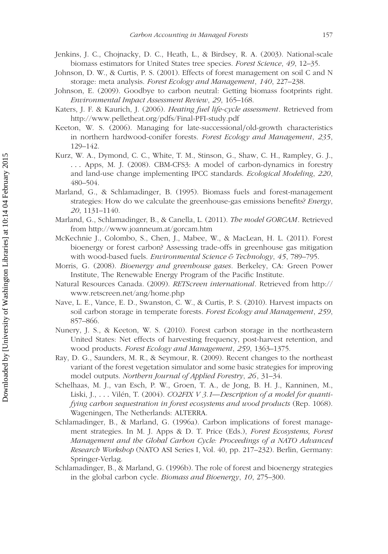- Jenkins, J. C., Chojnacky, D. C., Heath, L., & Birdsey, R. A. (2003). National-scale biomass estimators for United States tree species. *Forest Science*, *49*, 12–35.
- Johnson, D. W., & Curtis, P. S. (2001). Effects of forest management on soil C and N storage: meta analysis. *Forest Ecology and Management*, *140*, 227–238.
- Johnson, E. (2009). Goodbye to carbon neutral: Getting biomass footprints right. *Environmental Impact Assessment Review*, *29*, 165–168.
- Katers, J. F. & Kaurich, J. (2006). *Heating fuel life-cycle assessment*. Retrieved from http://www.pelletheat.org/pdfs/Final-PFI-study.pdf
- Keeton, W. S. (2006). Managing for late-successional*/*old-growth characteristics in northern hardwood-conifer forests. *Forest Ecology and Management*, *235*, 129–142.
- Kurz, W. A., Dymond, C. C., White, T. M., Stinson, G., Shaw, C. H., Rampley, G. J., *...* Apps, M. J. (2008). CBM-CFS3: A model of carbon-dynamics in forestry and land-use change implementing IPCC standards. *Ecological Modeling*, *220*, 480–504.
- Marland, G., & Schlamadinger, B. (1995). Biomass fuels and forest-management strategies: How do we calculate the greenhouse-gas emissions benefits? *Energy*, *20*, 1131–1140.
- Marland, G., Schlamadinger, B., & Canella, L. (2011). *The model GORCAM*. Retrieved from http://www.joanneum.at/gorcam.htm
- McKechnie J., Colombo, S., Chen, J., Mabee, W., & MacLean, H. L. (2011). Forest bioenergy or forest carbon? Assessing trade-offs in greenhouse gas mitigation with wood-based fuels. *Environmental Science & Technology*, *45*, 789–795.
- Morris, G. (2008). *Bioenergy and greenhouse gases*. Berkeley, CA: Green Power Institute, The Renewable Energy Program of the Pacific Institute.
- Natural Resources Canada. (2009). *RETScreen international*. Retrieved from http:// www.retscreen.net/ang/home.php
- Nave, L. E., Vance, E. D., Swanston, C. W., & Curtis, P. S. (2010). Harvest impacts on soil carbon storage in temperate forests. *Forest Ecology and Management*, *259*, 857–866.
- Nunery, J. S., & Keeton, W. S. (2010). Forest carbon storage in the northeastern United States: Net effects of harvesting frequency, post-harvest retention, and wood products. *Forest Ecology and Management*, *259*, 1363–1375.
- Ray, D. G., Saunders, M. R., & Seymour, R. (2009). Recent changes to the northeast variant of the forest vegetation simulator and some basic strategies for improving model outputs. *Northern Journal of Applied Forestry*, *26*, 31–34.
- Schelhaas, M. J., van Esch, P. W., Groen, T. A., de Jong, B. H. J., Kanninen, M., Liski, J., *...* Vilén, T. (2004). *CO2FIX V 3.1—Description of a model for quantifying carbon sequestration in forest ecosystems and wood products* (Rep. 1068). Wageningen, The Netherlands: ALTERRA.
- Schlamadinger, B., & Marland, G. (1996a). Carbon implications of forest management strategies. In M. J. Apps & D. T. Price (Eds.), *Forest Ecosystems, Forest Management and the Global Carbon Cycle: Proceedings of a NATO Advanced Research Workshop* (NATO ASI Series I, Vol. 40, pp. 217–232). Berlin, Germany: Springer-Verlag.
- Schlamadinger, B., & Marland, G. (1996b). The role of forest and bioenergy strategies in the global carbon cycle. *Biomass and Bioenergy*, *10*, 275–300.